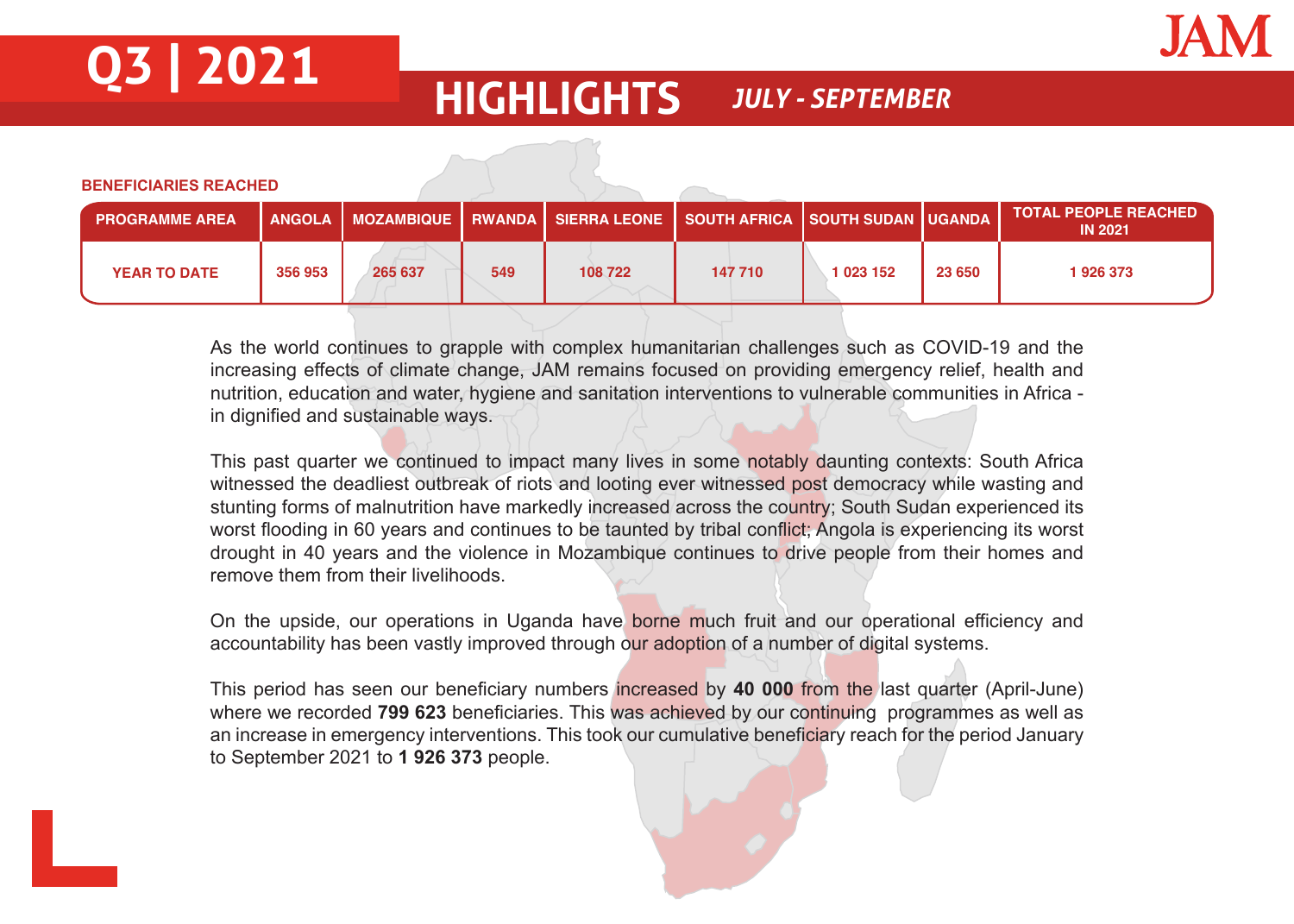

# **Q3 | 2021 HIGHLIGHTS** *JULY - SEPTEMBER*

**BENEFICIARIES REACHED**

| <b>PROGRAMME AREA</b> |         |         |     | ∫ ANGOLA │ MOZAMBIQUE │ RWANDA │ SIERRA LEONE │ SOUTH AFRICA │ SOUTH SUDAN │UGANDA │ |         |           |        | <b>TOTAL PEOPLE REACHED</b><br><b>IN 2021</b> |
|-----------------------|---------|---------|-----|--------------------------------------------------------------------------------------|---------|-----------|--------|-----------------------------------------------|
| <b>YEAR TO DATE</b>   | 356 953 | 265 637 | 549 | 108 722                                                                              | 147 710 | 1 023 152 | 23 650 | 1926373                                       |

As the world continues to grapple with complex humanitarian challenges such as COVID-19 and the increasing effects of climate change, JAM remains focused on providing emergency relief, health and nutrition, education and water, hygiene and sanitation interventions to vulnerable communities in Africa in dignified and sustainable ways.

This past quarter we continued to impact many lives in some notably daunting contexts: South Africa witnessed the deadliest outbreak of riots and looting ever witnessed post democracy while wasting and stunting forms of malnutrition have markedly increased across the country; South Sudan experienced its worst flooding in 60 years and continues to be taunted by tribal conflict; Angola is experiencing its worst drought in 40 years and the violence in Mozambique continues to drive people from their homes and remove them from their livelihoods.

On the upside, our operations in Uganda have borne much fruit and our operational efficiency and accountability has been vastly improved through our adoption of a number of digital systems.

This period has seen our beneficiary numbers increased by **40 000** from the last quarter (April-June) where we recorded **799 623** beneficiaries. This was achieved by our continuing programmes as well as an increase in emergency interventions. This took our cumulative beneficiary reach for the period January to September 2021 to **1 926 373** people.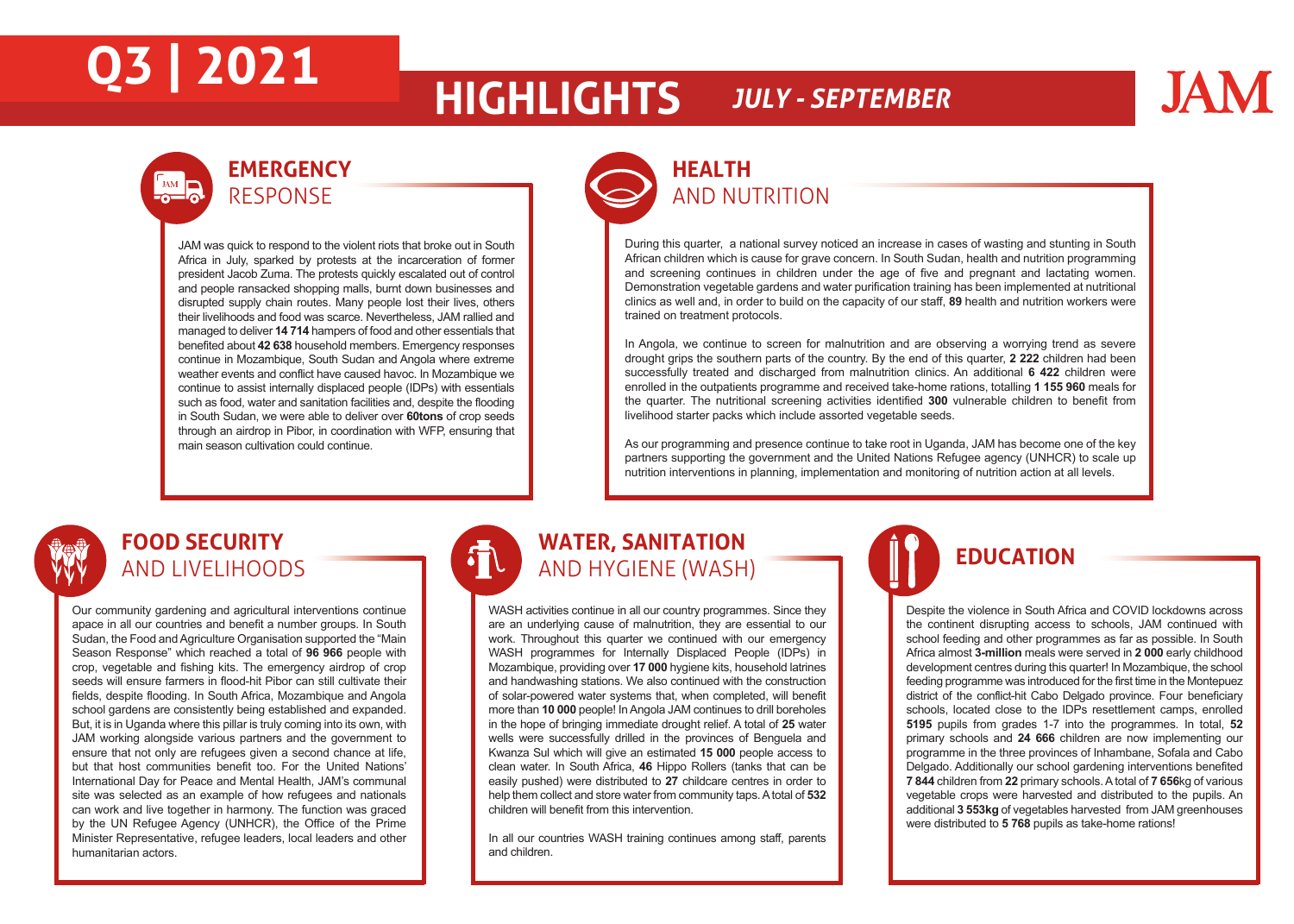# **Q3 | 2021 HIGHLIGHTS** *JULY - SEPTEMBER*

## **JAM**

### **EMERGENCY** JAM **D** RESPONSE

JAM was quick to respond to the violent riots that broke out in South Africa in July, sparked by protests at the incarceration of former president Jacob Zuma. The protests quickly escalated out of control and people ransacked shopping malls, burnt down businesses and disrupted supply chain routes. Many people lost their lives, others their livelihoods and food was scarce. Nevertheless, JAM rallied and managed to deliver **14 714** hampers of food and other essentials that benefited about **42 638** household members. Emergency responses continue in Mozambique, South Sudan and Angola where extreme weather events and conflict have caused havoc. In Mozambique we continue to assist internally displaced people (IDPs) with essentials such as food, water and sanitation facilities and, despite the flooding in South Sudan, we were able to deliver over **60tons** of crop seeds through an airdrop in Pibor, in coordination with WFP, ensuring that main season cultivation could continue.

## **HEALTH**  AND NUTRITION

During this quarter, a national survey noticed an increase in cases of wasting and stunting in South African children which is cause for grave concern. In South Sudan, health and nutrition programming and screening continues in children under the age of five and pregnant and lactating women. Demonstration vegetable gardens and water purification training has been implemented at nutritional clinics as well and, in order to build on the capacity of our staff, **89** health and nutrition workers were trained on treatment protocols.

In Angola, we continue to screen for malnutrition and are observing a worrying trend as severe drought grips the southern parts of the country. By the end of this quarter, **2 222** children had been successfully treated and discharged from malnutrition clinics. An additional **6 422** children were enrolled in the outpatients programme and received take-home rations, totalling **1 155 960** meals for the quarter. The nutritional screening activities identified **300** vulnerable children to benefit from livelihood starter packs which include assorted vegetable seeds.

As our programming and presence continue to take root in Uganda, JAM has become one of the key partners supporting the government and the United Nations Refugee agency (UNHCR) to scale up nutrition interventions in planning, implementation and monitoring of nutrition action at all levels.

### **FOOD SECURITY** AND LIVELIHOODS

Our community gardening and agricultural interventions continue apace in all our countries and benefit a number groups. In South Sudan, the Food and Agriculture Organisation supported the "Main Season Response" which reached a total of **96 966** people with crop, vegetable and fishing kits. The emergency airdrop of crop seeds will ensure farmers in flood-hit Pibor can still cultivate their fields, despite flooding. In South Africa, Mozambique and Angola school gardens are consistently being established and expanded. But, it is in Uganda where this pillar is truly coming into its own, with JAM working alongside various partners and the government to ensure that not only are refugees given a second chance at life, but that host communities benefit too. For the United Nations' International Day for Peace and Mental Health, JAM's communal site was selected as an example of how refugees and nationals can work and live together in harmony. The function was graced by the UN Refugee Agency (UNHCR), the Office of the Prime Minister Representative, refugee leaders, local leaders and other humanitarian actors.

## **WATER, SANITATION**  AND HYGIENE (WASH)

印

WASH activities continue in all our country programmes. Since they are an underlying cause of malnutrition, they are essential to our work. Throughout this quarter we continued with our emergency WASH programmes for Internally Displaced People (IDPs) in Mozambique, providing over **17 000** hygiene kits, household latrines and handwashing stations. We also continued with the construction of solar-powered water systems that, when completed, will benefit more than **10 000** people! In Angola JAM continues to drill boreholes in the hope of bringing immediate drought relief. A total of **25** water wells were successfully drilled in the provinces of Benguela and Kwanza Sul which will give an estimated **15 000** people access to clean water. In South Africa, **46** Hippo Rollers (tanks that can be easily pushed) were distributed to **27** childcare centres in order to help them collect and store water from community taps. A total of **532** children will benefit from this intervention.

In all our countries WASH training continues among staff, parents and children.

## **EDUCATION**

Despite the violence in South Africa and COVID lockdowns across the continent disrupting access to schools, JAM continued with school feeding and other programmes as far as possible. In South Africa almost **3-million** meals were served in **2 000** early childhood development centres during this quarter! In Mozambique, the school feeding programme was introduced for the first time in the Montepuez district of the conflict-hit Cabo Delgado province. Four beneficiary schools, located close to the IDPs resettlement camps, enrolled **5195** pupils from grades 1-7 into the programmes. In total, **52** primary schools and **24 666** children are now implementing our programme in the three provinces of Inhambane, Sofala and Cabo Delgado. Additionally our school gardening interventions benefited **7 844** children from **22** primary schools. A total of **7 656**kg of various vegetable crops were harvested and distributed to the pupils. An additional **3 553kg** of vegetables harvested from JAM greenhouses were distributed to **5 768** pupils as take-home rations!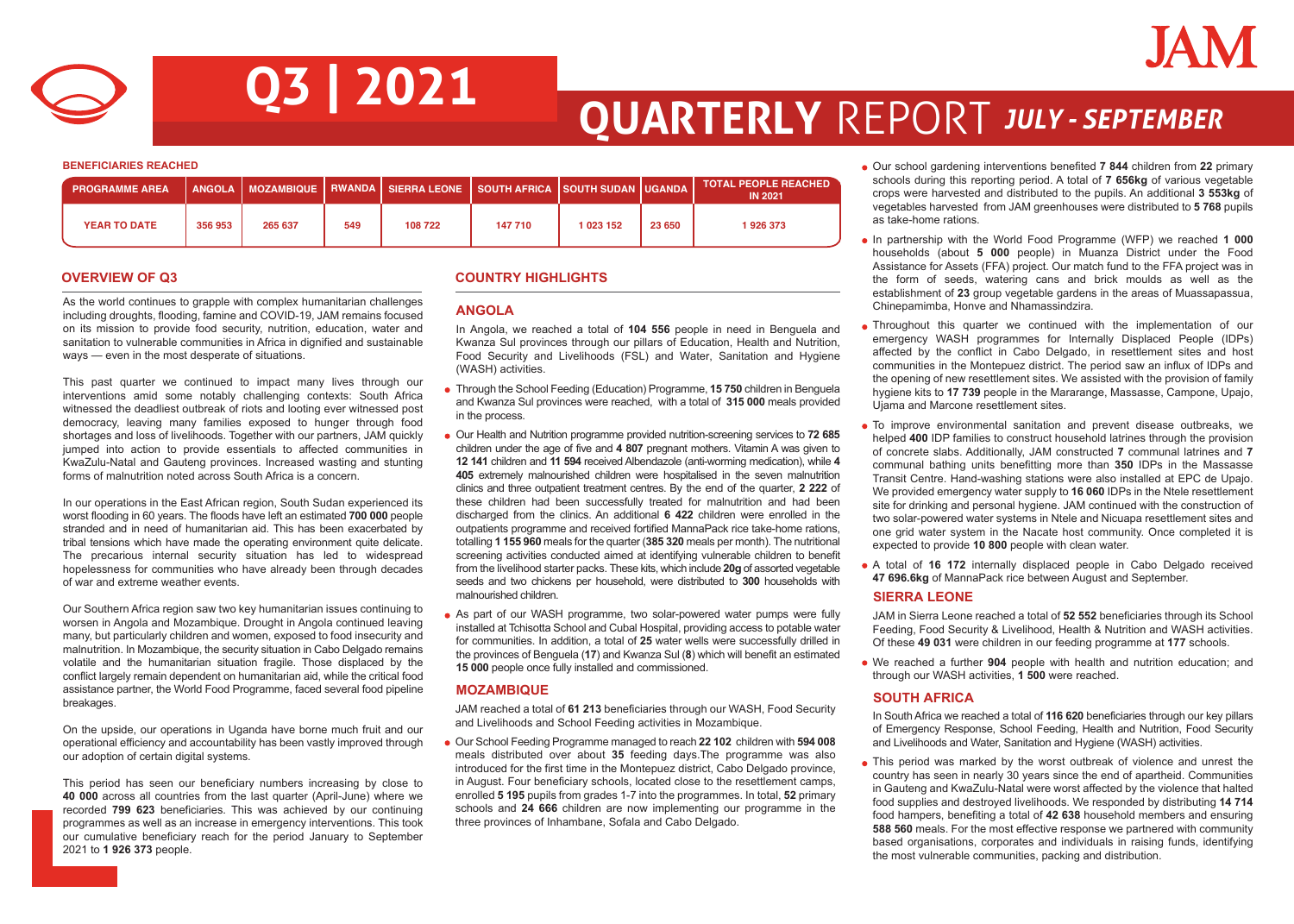

# **Q3 | 2021 QUARTERLY** REPORT *JULY - SEPTEMBER*

**BENEFICIARIES REACHED**

| <b>PROGRAMME AREA</b> |         |         |     | ,ANGOLA   MOZAMBIQUE   RWANDA   SIERRA LEONE   SOUTH AFRICA  SOUTH SUDAN  UGANDA |         |           |        | <b>TOTAL PEOPLE REACHED</b><br><b>IN 2021</b> |
|-----------------------|---------|---------|-----|----------------------------------------------------------------------------------|---------|-----------|--------|-----------------------------------------------|
| <b>YEAR TO DATE</b>   | 356 953 | 265 637 | 549 | 108 722                                                                          | 147 710 | 1 023 152 | 23 650 | 1926373                                       |

As the world continues to grapple with complex humanitarian challenges **ANGOLA**<br>including droughts, flooding, famine and COVID-19, JAM remains focused **ANGOLA** on its mission to provide food security, nutrition, education, water and sanitation to vulnerable communities in Africa in dignified and sustainable ways — even in the most desperate of situations.

This past quarter we continued to impact many lives through our interventions amid some notably challenging contexts: South Africa witnessed the deadliest outbreak of riots and looting ever witnessed post democracy, leaving many families exposed to hunger through food shortages and loss of livelihoods. Together with our partners, JAM quickly jumped into action to provide essentials to affected communities in KwaZulu-Natal and Gauteng provinces. Increased wasting and stunting forms of malnutrition noted across South Africa is a concern.

In our operations in the East African region, South Sudan experienced its worst flooding in 60 years. The floods have left an estimated **700 000** people stranded and in need of humanitarian aid. This has been exacerbated by tribal tensions which have made the operating environment quite delicate. The precarious internal security situation has led to widespread hopelessness for communities who have already been through decades of war and extreme weather events.

Our Southern Africa region saw two key humanitarian issues continuing to worsen in Angola and Mozambique. Drought in Angola continued leaving many, but particularly children and women, exposed to food insecurity and malnutrition. In Mozambique, the security situation in Cabo Delgado remains volatile and the humanitarian situation fragile. Those displaced by the conflict largely remain dependent on humanitarian aid, while the critical food assistance partner, the World Food Programme, faced several food pipeline breakages.

On the upside, our operations in Uganda have borne much fruit and our operational efficiency and accountability has been vastly improved through our adoption of certain digital systems.

This period has seen our beneficiary numbers increasing by close to **40 000** across all countries from the last quarter (April-June) where we recorded **799 623** beneficiaries. This was achieved by our continuing programmes as well as an increase in emergency interventions. This took our cumulative beneficiary reach for the period January to September 2021 to **1 926 373** people.

### **OVERVIEW OF Q3 COUNTRY HIGHLIGHTS**

In Angola, we reached a total of **104 556** people in need in Benguela and Kwanza Sul provinces through our pillars of Education, Health and Nutrition, Food Security and Livelihoods (FSL) and Water, Sanitation and Hygiene (WASH) activities.

- Through the School Feeding (Education) Programme, **15 750** children in Benguela and Kwanza Sul provinces were reached, with a total of **315 000** meals provided in the process.
- Our Health and Nutrition programme provided nutrition-screening services to **72 685** children under the age of five and **4 807** pregnant mothers. Vitamin A was given to **12 141** children and **11 594** received Albendazole (anti-worming medication), while **4 405** extremely malnourished children were hospitalised in the seven malnutrition clinics and three outpatient treatment centres. By the end of the quarter, **2 222** of these children had been successfully treated for malnutrition and had been discharged from the clinics. An additional **6 422** children were enrolled in the outpatients programme and received fortified MannaPack rice take-home rations, totalling **1 155 960** meals for the quarter (**385 320** meals per month). The nutritional screening activities conducted aimed at identifying vulnerable children to benefit from the livelihood starter packs. These kits, which include **20g** of assorted vegetable seeds and two chickens per household, were distributed to **300** households with malnourished children.
- As part of our WASH programme, two solar-powered water pumps were fully installed at Tchisotta School and Cubal Hospital, providing access to potable water for communities. In addition, a total of **25** water wells were successfully drilled in the provinces of Benguela (**17**) and Kwanza Sul (**8**) which will benefit an estimated **15 000** people once fully installed and commissioned.

### **MOZAMBIQUE**

JAM reached a total of **61 213** beneficiaries through our WASH, Food Security and Livelihoods and School Feeding activities in Mozambique.

Our School Feeding Programme managed to reach **22 102** children with **594 008** meals distributed over about **35** feeding days.The programme was also introduced for the first time in the Montepuez district, Cabo Delgado province, in August. Four beneficiary schools, located close to the resettlement camps, enrolled **5 195** pupils from grades 1-7 into the programmes. In total, **52** primary schools and **24 666** children are now implementing our programme in the three provinces of Inhambane, Sofala and Cabo Delgado.

- Our school gardening interventions benefited **7 844** children from **22** primary schools during this reporting period. A total of **7 656kg** of various vegetable crops were harvested and distributed to the pupils. An additional **3 553kg** of vegetables harvested from JAM greenhouses were distributed to **5 768** pupils as take-home rations.
- In partnership with the World Food Programme (WFP) we reached **1 000** households (about **5 000** people) in Muanza District under the Food Assistance for Assets (FFA) project. Our match fund to the FFA project was in the form of seeds, watering cans and brick moulds as well as the establishment of **23** group vegetable gardens in the areas of Muassapassua, Chinepamimba, Honve and Nhamassindzira.
- Throughout this quarter we continued with the implementation of our emergency WASH programmes for Internally Displaced People (IDPs) affected by the conflict in Cabo Delgado, in resettlement sites and host communities in the Montepuez district. The period saw an influx of IDPs and the opening of new resettlement sites. We assisted with the provision of family hygiene kits to **17 739** people in the Mararange, Massasse, Campone, Upajo, Ujama and Marcone resettlement sites.
- To improve environmental sanitation and prevent disease outbreaks, we helped **400** IDP families to construct household latrines through the provision of concrete slabs. Additionally, JAM constructed **7** communal latrines and **7** communal bathing units benefitting more than **350** IDPs in the Massasse Transit Centre. Hand-washing stations were also installed at EPC de Upajo. We provided emergency water supply to **16 060** IDPs in the Ntele resettlement site for drinking and personal hygiene. JAM continued with the construction of two solar-powered water systems in Ntele and Nicuapa resettlement sites and one grid water system in the Nacate host community. Once completed it is expected to provide **10 800** people with clean water.
- A total of **16 172** internally displaced people in Cabo Delgado received **47 696.6kg** of MannaPack rice between August and September.

### **SIERRA LEONE**

JAM in Sierra Leone reached a total of **52 552** beneficiaries through its School Feeding, Food Security & Livelihood, Health & Nutrition and WASH activities. Of these **49 031** were children in our feeding programme at **177** schools.

We reached a further **904** people with health and nutrition education; and through our WASH activities, **1 500** were reached.

### **SOUTH AFRICA**

In South Africa we reached a total of **116 620** beneficiaries through our key pillars of Emergency Response, School Feeding, Health and Nutrition, Food Security and Livelihoods and Water, Sanitation and Hygiene (WASH) activities.

• This period was marked by the worst outbreak of violence and unrest the country has seen in nearly 30 years since the end of apartheid. Communities in Gauteng and KwaZulu-Natal were worst affected by the violence that halted food supplies and destroyed livelihoods. We responded by distributing **14 714** food hampers, benefiting a total of **42 638** household members and ensuring **588 560** meals. For the most effective response we partnered with community based organisations, corporates and individuals in raising funds, identifying the most vulnerable communities, packing and distribution.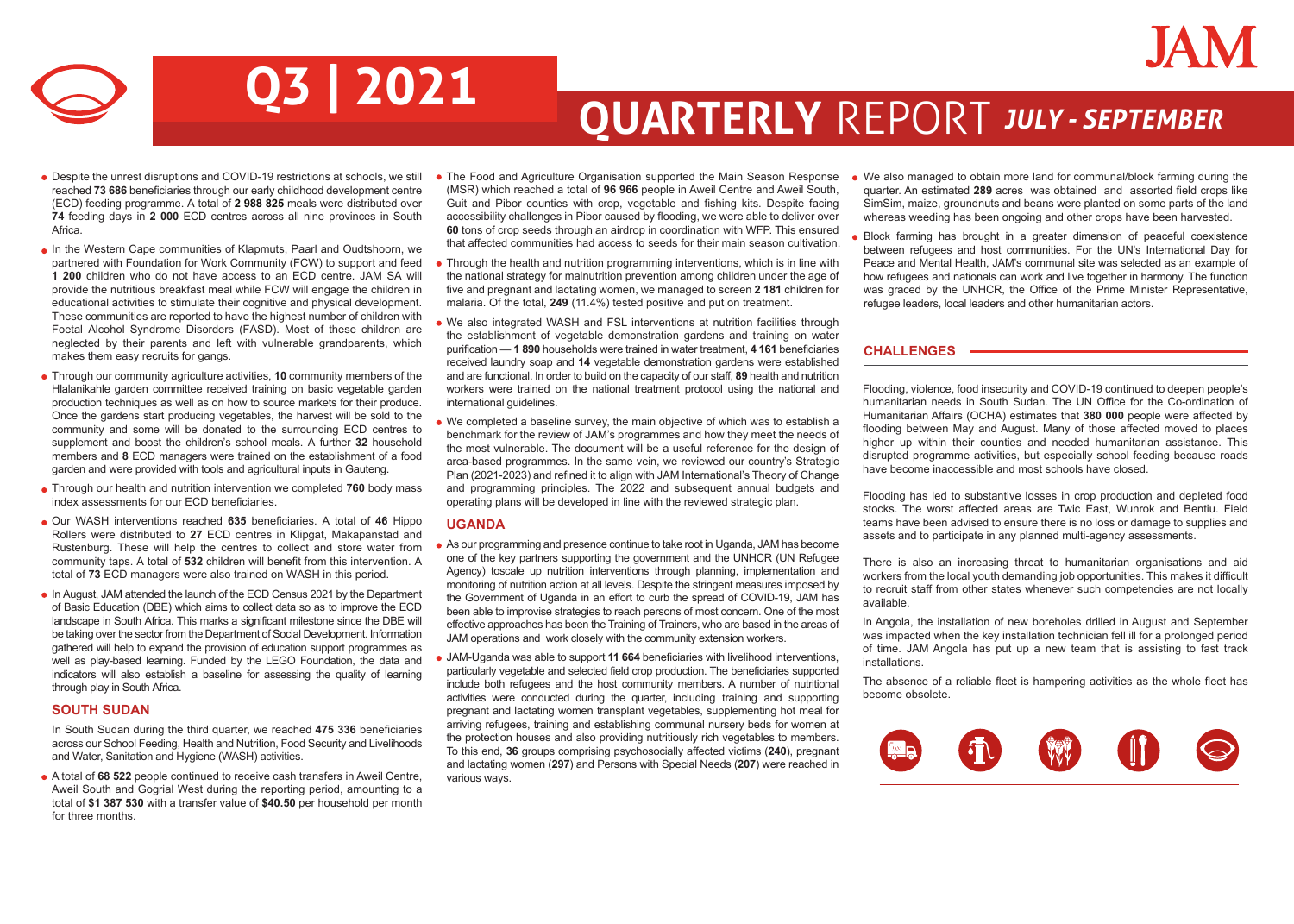## JAN

# **Q3 | 2021 QUARTERLY** REPORT *JULY - SEPTEMBER*

- Despite the unrest disruptions and COVID-19 restrictions at schools, we still reached **73 686** beneficiaries through our early childhood development centre (ECD) feeding programme. A total of **2 988 825** meals were distributed over **74** feeding days in **2 000** ECD centres across all nine provinces in South Africa.
- In the Western Cape communities of Klapmuts, Paarl and Oudtshoorn, we partnered with Foundation for Work Community (FCW) to support and feed **1 200** children who do not have access to an ECD centre. JAM SA will provide the nutritious breakfast meal while FCW will engage the children in educational activities to stimulate their cognitive and physical development. These communities are reported to have the highest number of children with Foetal Alcohol Syndrome Disorders (FASD). Most of these children are neglected by their parents and left with vulnerable grandparents, which makes them easy recruits for gangs.
- Through our community agriculture activities, **10** community members of the Hlalanikahle garden committee received training on basic vegetable garden production techniques as well as on how to source markets for their produce. Once the gardens start producing vegetables, the harvest will be sold to the community and some will be donated to the surrounding ECD centres to supplement and boost the children's school meals. A further **32** household members and **8** ECD managers were trained on the establishment of a food garden and were provided with tools and agricultural inputs in Gauteng.
- Through our health and nutrition intervention we completed **760** body mass index assessments for our ECD beneficiaries.
- Our WASH interventions reached **635** beneficiaries. A total of **46** Hippo Rollers were distributed to **27** ECD centres in Klipgat, Makapanstad and Rustenburg. These will help the centres to collect and store water from community taps. A total of **532** children will benefit from this intervention. A total of **73** ECD managers were also trained on WASH in this period.
- In August, JAM attended the launch of the ECD Census 2021 by the Department of Basic Education (DBE) which aims to collect data so as to improve the ECD landscape in South Africa. This marks a significant milestone since the DBE will be taking over the sector from the Department of Social Development. Information gathered will help to expand the provision of education support programmes as well as play-based learning. Funded by the LEGO Foundation, the data and indicators will also establish a baseline for assessing the quality of learning through play in South Africa.

### **SOUTH SUDAN**

In South Sudan during the third quarter, we reached **475 336** beneficiaries across our School Feeding, Health and Nutrition, Food Security and Livelihoods and Water, Sanitation and Hygiene (WASH) activities.

A total of **68 522** people continued to receive cash transfers in Aweil Centre, Aweil South and Gogrial West during the reporting period, amounting to a total of **\$1 387 530** with a transfer value of **\$40.50** per household per month for three months.

- The Food and Agriculture Organisation supported the Main Season Response (MSR) which reached a total of **96 966** people in Aweil Centre and Aweil South, Guit and Pibor counties with crop, vegetable and fishing kits. Despite facing accessibility challenges in Pibor caused by flooding, we were able to deliver over **60** tons of crop seeds through an airdrop in coordination with WFP. This ensured that affected communities had access to seeds for their main season cultivation.
- Through the health and nutrition programming interventions, which is in line with the national strategy for malnutrition prevention among children under the age of five and pregnant and lactating women, we managed to screen **2 181** children for malaria. Of the total, **249** (11.4%) tested positive and put on treatment.
- We also integrated WASH and FSL interventions at nutrition facilities through the establishment of vegetable demonstration gardens and training on water purification — **1 890** households were trained in water treatment, **4 161** beneficiaries received laundry soap and **14** vegetable demonstration gardens were established and are functional. In order to build on the capacity of our staff, **89** health and nutrition workers were trained on the national treatment protocol using the national and international guidelines.
- We completed a baseline survey, the main objective of which was to establish a benchmark for the review of JAM's programmes and how they meet the needs of the most vulnerable. The document will be a useful reference for the design of area-based programmes. In the same vein, we reviewed our country's Strategic Plan (2021-2023) and refined it to align with JAM International's Theory of Change and programming principles. The 2022 and subsequent annual budgets and operating plans will be developed in line with the reviewed strategic plan.

### **UGANDA**

- As our programming and presence continue to take root in Uganda, JAM has become one of the key partners supporting the government and the UNHCR (UN Refugee Agency) toscale up nutrition interventions through planning, implementation and monitoring of nutrition action at all levels. Despite the stringent measures imposed by the Government of Uganda in an effort to curb the spread of COVID-19, JAM has been able to improvise strategies to reach persons of most concern. One of the most effective approaches has been the Training of Trainers, who are based in the areas of JAM operations and work closely with the community extension workers.
- JAM-Uganda was able to support **11 664** beneficiaries with livelihood interventions, particularly vegetable and selected field crop production. The beneficiaries supported include both refugees and the host community members. A number of nutritional activities were conducted during the quarter, including training and supporting pregnant and lactating women transplant vegetables, supplementing hot meal for arriving refugees, training and establishing communal nursery beds for women at the protection houses and also providing nutritiously rich vegetables to members. To this end, **36** groups comprising psychosocially affected victims (**240**), pregnant and lactating women (**297**) and Persons with Special Needs (**207**) were reached in various ways.
- We also managed to obtain more land for communal/block farming during the quarter. An estimated **289** acres was obtained and assorted field crops like SimSim, maize, groundnuts and beans were planted on some parts of the land whereas weeding has been ongoing and other crops have been harvested.
- Block farming has brought in a greater dimension of peaceful coexistence between refugees and host communities. For the UN's International Day for Peace and Mental Health, JAM's communal site was selected as an example of how refugees and nationals can work and live together in harmony. The function was graced by the UNHCR, the Office of the Prime Minister Representative, refugee leaders, local leaders and other humanitarian actors.

### **CHALLENGES**

Flooding, violence, food insecurity and COVID-19 continued to deepen people's humanitarian needs in South Sudan. The UN Office for the Co-ordination of Humanitarian Affairs (OCHA) estimates that **380 000** people were affected by flooding between May and August. Many of those affected moved to places higher up within their counties and needed humanitarian assistance. This disrupted programme activities, but especially school feeding because roads have become inaccessible and most schools have closed.

Flooding has led to substantive losses in crop production and depleted food stocks. The worst affected areas are Twic East, Wunrok and Bentiu. Field teams have been advised to ensure there is no loss or damage to supplies and assets and to participate in any planned multi-agency assessments.

There is also an increasing threat to humanitarian organisations and aid workers from the local youth demanding job opportunities. This makes it difficult to recruit staff from other states whenever such competencies are not locally available.

In Angola, the installation of new boreholes drilled in August and September was impacted when the key installation technician fell ill for a prolonged period of time. JAM Angola has put up a new team that is assisting to fast track installations.

The absence of a reliable fleet is hampering activities as the whole fleet has become obsolete.

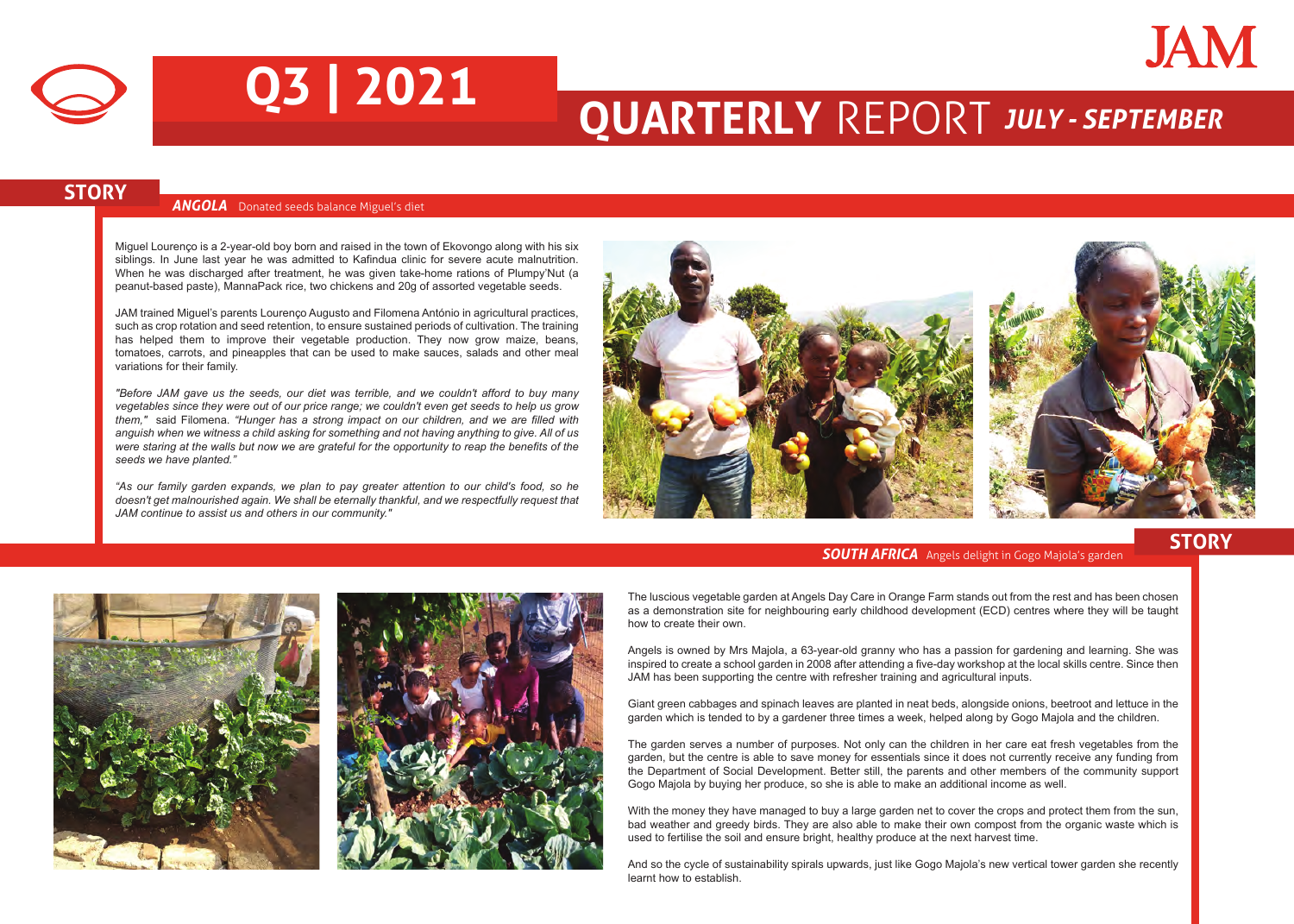



# **Q3 | 2021 QUARTERLY** REPORT *JULY - SEPTEMBER*

## **STORY** *ANGOLA* Donated seeds balance Miguel's diet

Miguel Lourenço is a 2-year-old boy born and raised in the town of Ekovongo along with his six siblings. In June last year he was admitted to Kafindua clinic for severe acute malnutrition. When he was discharged after treatment, he was given take-home rations of Plumpy'Nut (a peanut-based paste), MannaPack rice, two chickens and 20g of assorted vegetable seeds.

JAM trained Miguel's parents Lourenço Augusto and Filomena António in agricultural practices, such as crop rotation and seed retention, to ensure sustained periods of cultivation. The training has helped them to improve their vegetable production. They now grow maize, beans, tomatoes, carrots, and pineapples that can be used to make sauces, salads and other meal variations for their family.

*"Before JAM gave us the seeds, our diet was terrible, and we couldn't afford to buy many vegetables since they were out of our price range; we couldn't even get seeds to help us grow them,"* said Filomena. *"Hunger has a strong impact on our children, and we are filled with anguish when we witness a child asking for something and not having anything to give. All of us were staring at the walls but now we are grateful for the opportunity to reap the benefits of the seeds we have planted."*

*"As our family garden expands, we plan to pay greater attention to our child's food, so he doesn't get malnourished again. We shall be eternally thankful, and we respectfully request that JAM continue to assist us and others in our community."*



## **SOUTH AFRICA** Angels delight in Gogo Majola's garden **STORY**





The luscious vegetable garden at Angels Day Care in Orange Farm stands out from the rest and has been chosen as a demonstration site for neighbouring early childhood development (ECD) centres where they will be taught how to create their own.

Angels is owned by Mrs Majola, a 63-year-old granny who has a passion for gardening and learning. She was inspired to create a school garden in 2008 after attending a five-day workshop at the local skills centre. Since then JAM has been supporting the centre with refresher training and agricultural inputs.

Giant green cabbages and spinach leaves are planted in neat beds, alongside onions, beetroot and lettuce in the garden which is tended to by a gardener three times a week, helped along by Gogo Majola and the children.

The garden serves a number of purposes. Not only can the children in her care eat fresh vegetables from the garden, but the centre is able to save money for essentials since it does not currently receive any funding from the Department of Social Development. Better still, the parents and other members of the community support Gogo Majola by buying her produce, so she is able to make an additional income as well.

With the money they have managed to buy a large garden net to cover the crops and protect them from the sun, bad weather and greedy birds. They are also able to make their own compost from the organic waste which is used to fertilise the soil and ensure bright, healthy produce at the next harvest time.

And so the cycle of sustainability spirals upwards, just like Gogo Majola's new vertical tower garden she recently learnt how to establish.